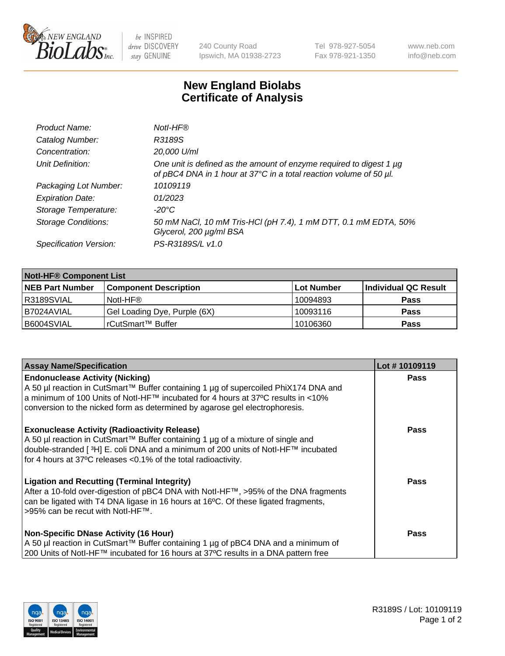

 $be$  INSPIRED drive DISCOVERY stay GENUINE

240 County Road Ipswich, MA 01938-2723 Tel 978-927-5054 Fax 978-921-1350 www.neb.com info@neb.com

## **New England Biolabs Certificate of Analysis**

| Product Name:              | Notl-HF®                                                                                                                                  |
|----------------------------|-------------------------------------------------------------------------------------------------------------------------------------------|
| Catalog Number:            | R3189S                                                                                                                                    |
| Concentration:             | 20,000 U/ml                                                                                                                               |
| Unit Definition:           | One unit is defined as the amount of enzyme required to digest 1 µg<br>of pBC4 DNA in 1 hour at 37°C in a total reaction volume of 50 µl. |
| Packaging Lot Number:      | 10109119                                                                                                                                  |
| <b>Expiration Date:</b>    | 01/2023                                                                                                                                   |
| Storage Temperature:       | $-20^{\circ}$ C                                                                                                                           |
| <b>Storage Conditions:</b> | 50 mM NaCl, 10 mM Tris-HCl (pH 7.4), 1 mM DTT, 0.1 mM EDTA, 50%<br>Glycerol, 200 µg/ml BSA                                                |
| Specification Version:     | PS-R3189S/L v1.0                                                                                                                          |

| <b>Notl-HF® Component List</b> |                              |            |                      |  |  |
|--------------------------------|------------------------------|------------|----------------------|--|--|
| <b>NEB Part Number</b>         | <b>Component Description</b> | Lot Number | Individual QC Result |  |  |
| R3189SVIAL                     | Notl-HF®                     | 10094893   | <b>Pass</b>          |  |  |
| I B7024AVIAL                   | Gel Loading Dye, Purple (6X) | 10093116   | <b>Pass</b>          |  |  |
| B6004SVIAL                     | rCutSmart™ Buffer            | 10106360   | <b>Pass</b>          |  |  |

| <b>Assay Name/Specification</b>                                                                                                                                                                                                                                                                            | Lot #10109119 |
|------------------------------------------------------------------------------------------------------------------------------------------------------------------------------------------------------------------------------------------------------------------------------------------------------------|---------------|
| <b>Endonuclease Activity (Nicking)</b><br>A 50 µl reaction in CutSmart™ Buffer containing 1 µg of supercoiled PhiX174 DNA and                                                                                                                                                                              | <b>Pass</b>   |
| a minimum of 100 Units of Notl-HF™ incubated for 4 hours at 37°C results in <10%<br>conversion to the nicked form as determined by agarose gel electrophoresis.                                                                                                                                            |               |
| <b>Exonuclease Activity (Radioactivity Release)</b><br>A 50 µl reaction in CutSmart™ Buffer containing 1 µg of a mixture of single and<br>double-stranded [ <sup>3</sup> H] E. coli DNA and a minimum of 200 units of Notl-HF™ incubated<br>for 4 hours at 37°C releases <0.1% of the total radioactivity. | <b>Pass</b>   |
| <b>Ligation and Recutting (Terminal Integrity)</b><br>After a 10-fold over-digestion of pBC4 DNA with Notl-HF™, >95% of the DNA fragments<br>can be ligated with T4 DNA ligase in 16 hours at 16 <sup>o</sup> C. Of these ligated fragments,<br>>95% can be recut with Notl-HF™.                           | Pass          |
| <b>Non-Specific DNase Activity (16 Hour)</b>                                                                                                                                                                                                                                                               | <b>Pass</b>   |
| A 50 µl reaction in CutSmart™ Buffer containing 1 µg of pBC4 DNA and a minimum of<br>200 Units of Notl-HF™ incubated for 16 hours at 37°C results in a DNA pattern free                                                                                                                                    |               |